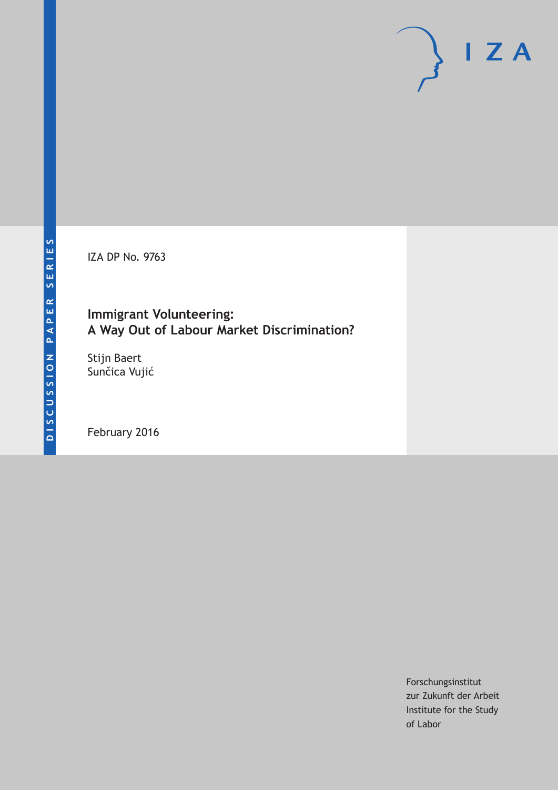IZA DP No. 9763

## **Immigrant Volunteering: A Way Out of Labour Market Discrimination?**

Stijn Baert Sunčica Vujić

February 2016

Forschungsinstitut zur Zukunft der Arbeit Institute for the Study of Labor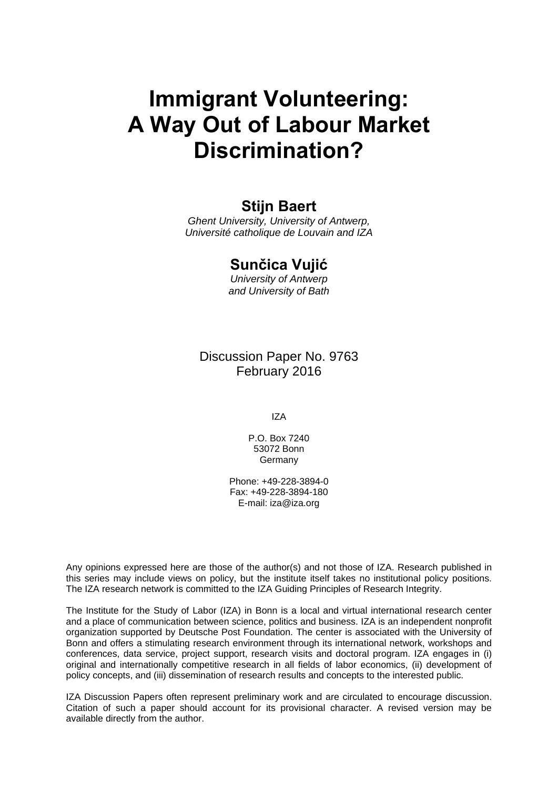# **Immigrant Volunteering: A Way Out of Labour Market Discrimination?**

## **Stijn Baert**

*Ghent University, University of Antwerp, Université catholique de Louvain and IZA* 

## **Sunčica Vujić**

*University of Antwerp and University of Bath* 

Discussion Paper No. 9763 February 2016

IZA

P.O. Box 7240 53072 Bonn **Germany** 

Phone: +49-228-3894-0 Fax: +49-228-3894-180 E-mail: iza@iza.org

Any opinions expressed here are those of the author(s) and not those of IZA. Research published in this series may include views on policy, but the institute itself takes no institutional policy positions. The IZA research network is committed to the IZA Guiding Principles of Research Integrity.

The Institute for the Study of Labor (IZA) in Bonn is a local and virtual international research center and a place of communication between science, politics and business. IZA is an independent nonprofit organization supported by Deutsche Post Foundation. The center is associated with the University of Bonn and offers a stimulating research environment through its international network, workshops and conferences, data service, project support, research visits and doctoral program. IZA engages in (i) original and internationally competitive research in all fields of labor economics, (ii) development of policy concepts, and (iii) dissemination of research results and concepts to the interested public.

IZA Discussion Papers often represent preliminary work and are circulated to encourage discussion. Citation of such a paper should account for its provisional character. A revised version may be available directly from the author.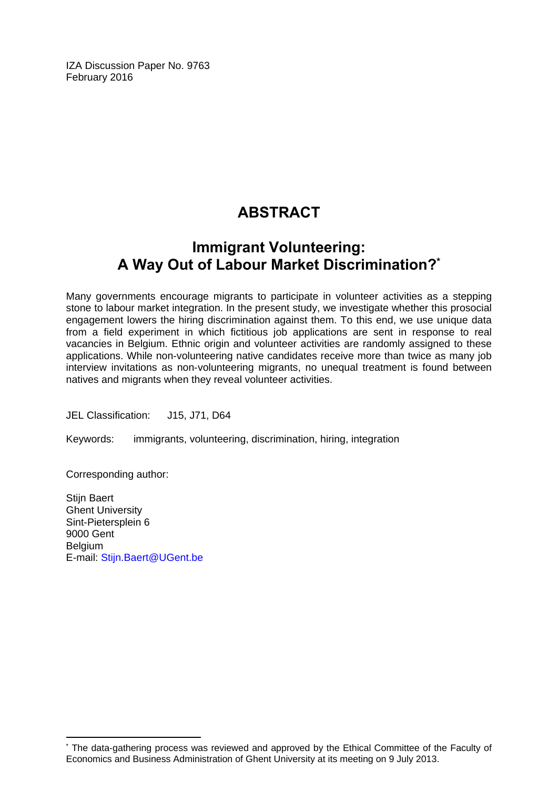IZA Discussion Paper No. 9763 February 2016

# **ABSTRACT**

## **Immigrant Volunteering: A Way Out of Labour Market Discrimination?\***

Many governments encourage migrants to participate in volunteer activities as a stepping stone to labour market integration. In the present study, we investigate whether this prosocial engagement lowers the hiring discrimination against them. To this end, we use unique data from a field experiment in which fictitious job applications are sent in response to real vacancies in Belgium. Ethnic origin and volunteer activities are randomly assigned to these applications. While non-volunteering native candidates receive more than twice as many job interview invitations as non-volunteering migrants, no unequal treatment is found between natives and migrants when they reveal volunteer activities.

JEL Classification: J15, J71, D64

Keywords: immigrants, volunteering, discrimination, hiring, integration

Corresponding author:

 $\overline{a}$ 

Stijn Baert Ghent University Sint-Pietersplein 6 9000 Gent Belgium E-mail: Stijn.Baert@UGent.be

<sup>\*</sup> The data‐gathering process was reviewed and approved by the Ethical Committee of the Faculty of Economics and Business Administration of Ghent University at its meeting on 9 July 2013.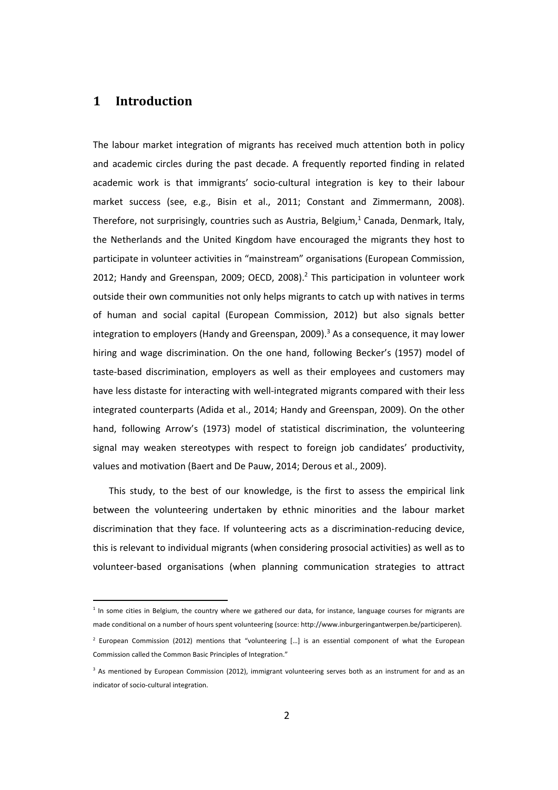### **1 Introduction**

The labour market integration of migrants has received much attention both in policy and academic circles during the past decade. A frequently reported finding in related academic work is that immigrants' socio-cultural integration is key to their labour market success (see, e.g., Bisin et al., 2011; Constant and Zimmermann, 2008). Therefore, not surprisingly, countries such as Austria, Belgium, $1$  Canada, Denmark, Italy, the Netherlands and the United Kingdom have encouraged the migrants they host to participate in volunteer activities in "mainstream" organisations (European Commission, 2012; Handy and Greenspan, 2009; OECD, 2008).<sup>2</sup> This participation in volunteer work outside their own communities not only helps migrants to catch up with natives in terms of human and social capital (European Commission, 2012) but also signals better integration to employers (Handy and Greenspan, 2009). $3$  As a consequence, it may lower hiring and wage discrimination. On the one hand, following Becker's (1957) model of taste‐based discrimination, employers as well as their employees and customers may have less distaste for interacting with well-integrated migrants compared with their less integrated counterparts (Adida et al., 2014; Handy and Greenspan, 2009). On the other hand, following Arrow's (1973) model of statistical discrimination, the volunteering signal may weaken stereotypes with respect to foreign job candidates' productivity, values and motivation (Baert and De Pauw, 2014; Derous et al., 2009).

This study, to the best of our knowledge, is the first to assess the empirical link between the volunteering undertaken by ethnic minorities and the labour market discrimination that they face. If volunteering acts as a discrimination‐reducing device, this is relevant to individual migrants (when considering prosocial activities) as well as to volunteer‐based organisations (when planning communication strategies to attract

 $1$  In some cities in Belgium, the country where we gathered our data, for instance, language courses for migrants are made conditional on a number of hours spent volunteering (source: http://www.inburgeringantwerpen.be/participeren).

<sup>2</sup> European Commission (2012) mentions that "volunteering […] is an essential component of what the European Commission called the Common Basic Principles of Integration."

<sup>&</sup>lt;sup>3</sup> As mentioned by European Commission (2012), immigrant volunteering serves both as an instrument for and as an indicator of socio‐cultural integration.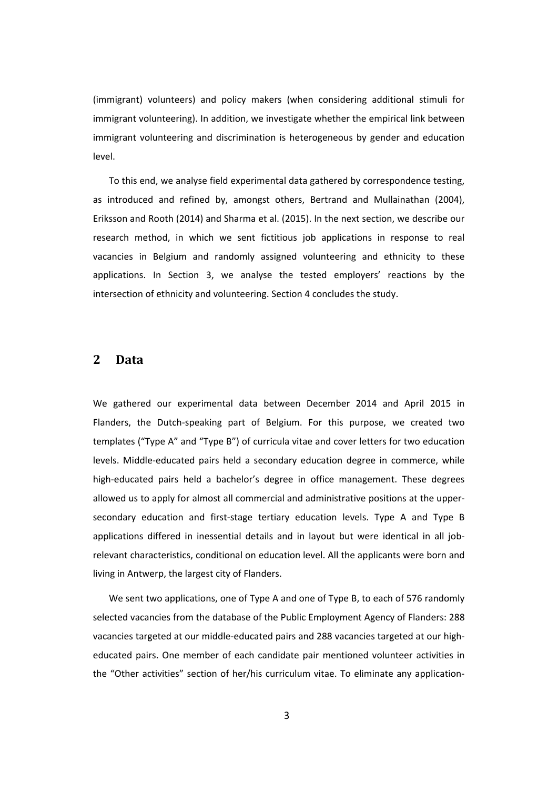(immigrant) volunteers) and policy makers (when considering additional stimuli for immigrant volunteering). In addition, we investigate whether the empirical link between immigrant volunteering and discrimination is heterogeneous by gender and education level.

To this end, we analyse field experimental data gathered by correspondence testing, as introduced and refined by, amongst others, Bertrand and Mullainathan (2004), Eriksson and Rooth (2014) and Sharma et al. (2015). In the next section, we describe our research method, in which we sent fictitious job applications in response to real vacancies in Belgium and randomly assigned volunteering and ethnicity to these applications. In Section 3, we analyse the tested employers' reactions by the intersection of ethnicity and volunteering. Section 4 concludes the study.

#### **2 Data**

We gathered our experimental data between December 2014 and April 2015 in Flanders, the Dutch‐speaking part of Belgium. For this purpose, we created two templates ("Type A" and "Type B") of curricula vitae and cover letters for two education levels. Middle‐educated pairs held a secondary education degree in commerce, while high-educated pairs held a bachelor's degree in office management. These degrees allowed us to apply for almost all commercial and administrative positions at the upper‐ secondary education and first-stage tertiary education levels. Type A and Type B applications differed in inessential details and in layout but were identical in all jobrelevant characteristics, conditional on education level. All the applicants were born and living in Antwerp, the largest city of Flanders.

We sent two applications, one of Type A and one of Type B, to each of 576 randomly selected vacancies from the database of the Public Employment Agency of Flanders: 288 vacancies targeted at our middle‐educated pairs and 288 vacancies targeted at our high‐ educated pairs. One member of each candidate pair mentioned volunteer activities in the "Other activities" section of her/his curriculum vitae. To eliminate any application‐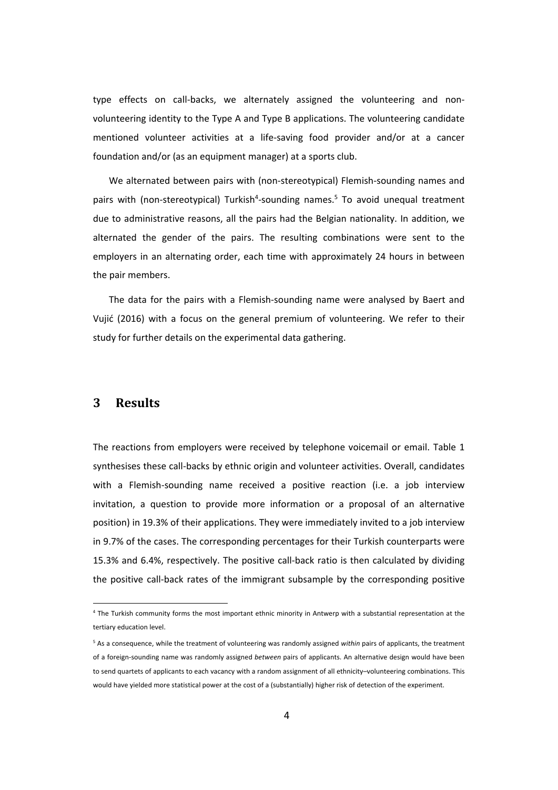type effects on call-backs, we alternately assigned the volunteering and nonvolunteering identity to the Type A and Type B applications. The volunteering candidate mentioned volunteer activities at a life-saving food provider and/or at a cancer foundation and/or (as an equipment manager) at a sports club.

We alternated between pairs with (non-stereotypical) Flemish-sounding names and pairs with (non-stereotypical) Turkish<sup>4</sup>-sounding names.<sup>5</sup> To avoid unequal treatment due to administrative reasons, all the pairs had the Belgian nationality. In addition, we alternated the gender of the pairs. The resulting combinations were sent to the employers in an alternating order, each time with approximately 24 hours in between the pair members.

The data for the pairs with a Flemish‐sounding name were analysed by Baert and Vujić (2016) with a focus on the general premium of volunteering. We refer to their study for further details on the experimental data gathering.

#### **3 Results**

The reactions from employers were received by telephone voicemail or email. Table 1 synthesises these call-backs by ethnic origin and volunteer activities. Overall, candidates with a Flemish-sounding name received a positive reaction (i.e. a job interview invitation, a question to provide more information or a proposal of an alternative position) in 19.3% of their applications. They were immediately invited to a job interview in 9.7% of the cases. The corresponding percentages for their Turkish counterparts were 15.3% and 6.4%, respectively. The positive call‐back ratio is then calculated by dividing the positive call‐back rates of the immigrant subsample by the corresponding positive

<sup>&</sup>lt;sup>4</sup> The Turkish community forms the most important ethnic minority in Antwerp with a substantial representation at the tertiary education level.

<sup>5</sup> As a consequence, while the treatment of volunteering was randomly assigned *within* pairs of applicants, the treatment of a foreign‐sounding name was randomly assigned *between* pairs of applicants. An alternative design would have been to send quartets of applicants to each vacancy with a random assignment of all ethnicity–volunteering combinations. This would have yielded more statistical power at the cost of a (substantially) higher risk of detection of the experiment.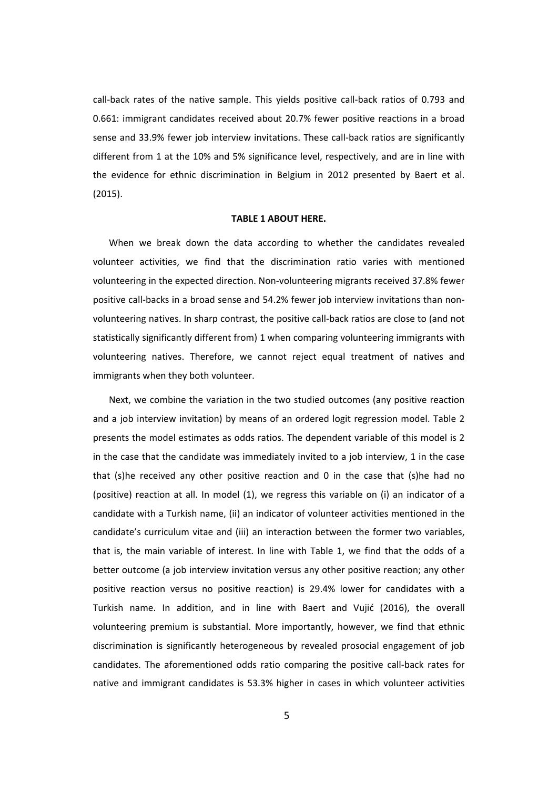call‐back rates of the native sample. This yields positive call‐back ratios of 0.793 and 0.661: immigrant candidates received about 20.7% fewer positive reactions in a broad sense and 33.9% fewer job interview invitations. These call-back ratios are significantly different from 1 at the 10% and 5% significance level, respectively, and are in line with the evidence for ethnic discrimination in Belgium in 2012 presented by Baert et al. (2015).

#### **TABLE 1 ABOUT HERE.**

When we break down the data according to whether the candidates revealed volunteer activities, we find that the discrimination ratio varies with mentioned volunteering in the expected direction. Non‐volunteering migrants received 37.8% fewer positive call‐backs in a broad sense and 54.2% fewer job interview invitations than non‐ volunteering natives. In sharp contrast, the positive call‐back ratios are close to (and not statistically significantly different from) 1 when comparing volunteering immigrants with volunteering natives. Therefore, we cannot reject equal treatment of natives and immigrants when they both volunteer.

Next, we combine the variation in the two studied outcomes (any positive reaction and a job interview invitation) by means of an ordered logit regression model. Table 2 presents the model estimates as odds ratios. The dependent variable of this model is 2 in the case that the candidate was immediately invited to a job interview, 1 in the case that (s)he received any other positive reaction and 0 in the case that (s)he had no (positive) reaction at all. In model (1), we regress this variable on (i) an indicator of a candidate with a Turkish name, (ii) an indicator of volunteer activities mentioned in the candidate's curriculum vitae and (iii) an interaction between the former two variables, that is, the main variable of interest. In line with Table 1, we find that the odds of a better outcome (a job interview invitation versus any other positive reaction; any other positive reaction versus no positive reaction) is 29.4% lower for candidates with a Turkish name. In addition, and in line with Baert and Vujić (2016), the overall volunteering premium is substantial. More importantly, however, we find that ethnic discrimination is significantly heterogeneous by revealed prosocial engagement of job candidates. The aforementioned odds ratio comparing the positive call‐back rates for native and immigrant candidates is 53.3% higher in cases in which volunteer activities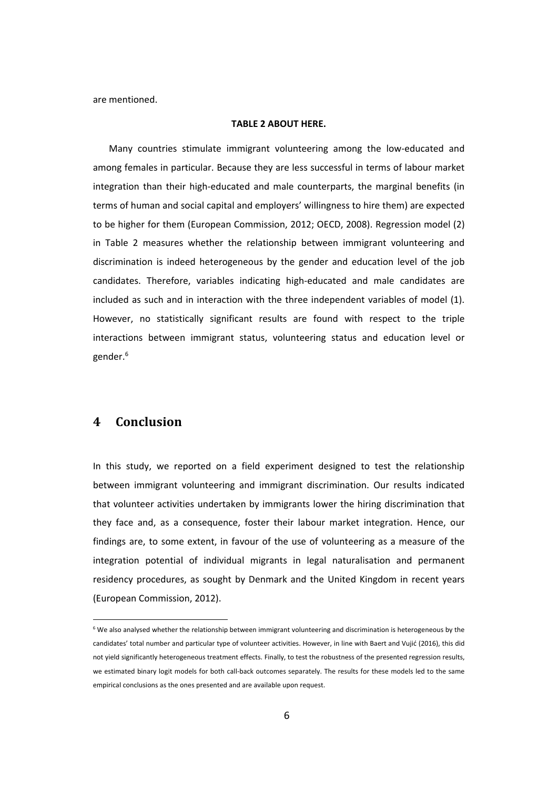are mentioned.

#### **TABLE 2 ABOUT HERE.**

Many countries stimulate immigrant volunteering among the low‐educated and among females in particular. Because they are less successful in terms of labour market integration than their high‐educated and male counterparts, the marginal benefits (in terms of human and social capital and employers' willingness to hire them) are expected to be higher for them (European Commission, 2012; OECD, 2008). Regression model (2) in Table 2 measures whether the relationship between immigrant volunteering and discrimination is indeed heterogeneous by the gender and education level of the job candidates. Therefore, variables indicating high‐educated and male candidates are included as such and in interaction with the three independent variables of model (1). However, no statistically significant results are found with respect to the triple interactions between immigrant status, volunteering status and education level or gender.6

### **4 Conclusion**

In this study, we reported on a field experiment designed to test the relationship between immigrant volunteering and immigrant discrimination. Our results indicated that volunteer activities undertaken by immigrants lower the hiring discrimination that they face and, as a consequence, foster their labour market integration. Hence, our findings are, to some extent, in favour of the use of volunteering as a measure of the integration potential of individual migrants in legal naturalisation and permanent residency procedures, as sought by Denmark and the United Kingdom in recent years (European Commission, 2012).

 $6$  We also analysed whether the relationship between immigrant volunteering and discrimination is heterogeneous by the candidates' total number and particular type of volunteer activities. However, in line with Baert and Vujić (2016), this did not yield significantly heterogeneous treatment effects. Finally, to test the robustness of the presented regression results, we estimated binary logit models for both call‐back outcomes separately. The results for these models led to the same empirical conclusions as the ones presented and are available upon request.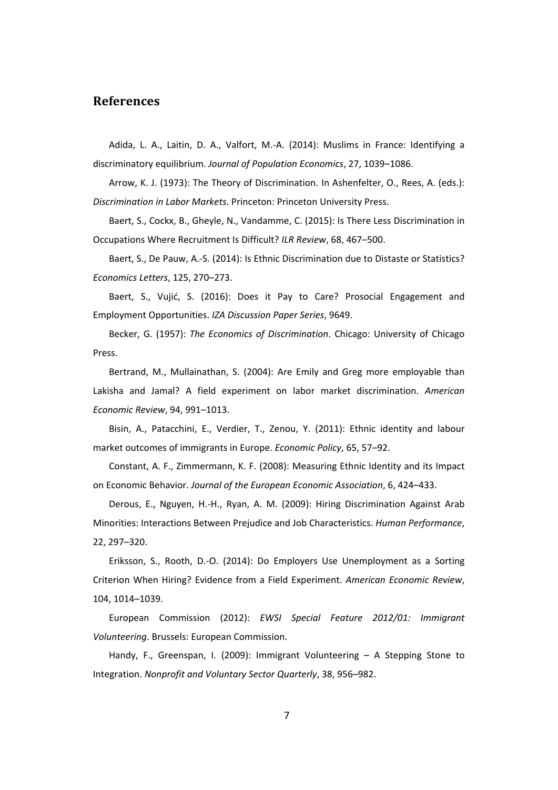#### **References**

Adida, L. A., Laitin, D. A., Valfort, M.‐A. (2014): Muslims in France: Identifying a discriminatory equilibrium. *Journal of Population Economics*, 27, 1039–1086.

Arrow, K. J. (1973): The Theory of Discrimination. In Ashenfelter, O., Rees, A. (eds.): *Discrimination in Labor Markets*. Princeton: Princeton University Press.

Baert, S., Cockx, B., Gheyle, N., Vandamme, C. (2015): Is There Less Discrimination in Occupations Where Recruitment Is Difficult? *ILR Review*, 68, 467–500.

Baert, S., De Pauw, A.-S. (2014): Is Ethnic Discrimination due to Distaste or Statistics? *Economics Letters*, 125, 270–273.

Baert, S., Vujić, S. (2016): Does it Pay to Care? Prosocial Engagement and Employment Opportunities. *IZA Discussion Paper Series*, 9649.

Becker, G. (1957): *The Economics of Discrimination*. Chicago: University of Chicago Press.

Bertrand, M., Mullainathan, S. (2004): Are Emily and Greg more employable than Lakisha and Jamal? A field experiment on labor market discrimination. *American Economic Review*, 94, 991–1013.

Bisin, A., Patacchini, E., Verdier, T., Zenou, Y. (2011): Ethnic identity and labour market outcomes of immigrants in Europe. *Economic Policy*, 65, 57–92.

Constant, A. F., Zimmermann, K. F. (2008): Measuring Ethnic Identity and its Impact on Economic Behavior. *Journal of the European Economic Association*, 6, 424–433.

Derous, E., Nguyen, H.‐H., Ryan, A. M. (2009): Hiring Discrimination Against Arab Minorities: Interactions Between Prejudice and Job Characteristics. *Human Performance*, 22, 297–320.

Eriksson, S., Rooth, D.‐O. (2014): Do Employers Use Unemployment as a Sorting Criterion When Hiring? Evidence from a Field Experiment. *American Economic Review*, 104, 1014–1039.

European Commission (2012): *EWSI Special Feature 2012/01: Immigrant Volunteering*. Brussels: European Commission.

Handy, F., Greenspan, I. (2009): Immigrant Volunteering – A Stepping Stone to Integration. *Nonprofit and Voluntary Sector Quarterly*, 38, 956–982.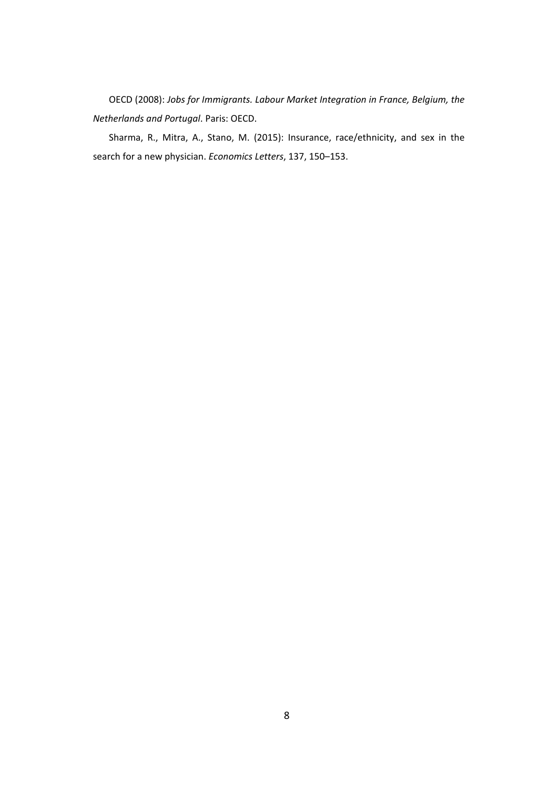OECD (2008): *Jobs for Immigrants. Labour Market Integration in France, Belgium, the Netherlands and Portugal*. Paris: OECD.

Sharma, R., Mitra, A., Stano, M. (2015): Insurance, race/ethnicity, and sex in the search for a new physician. *Economics Letters*, 137, 150–153.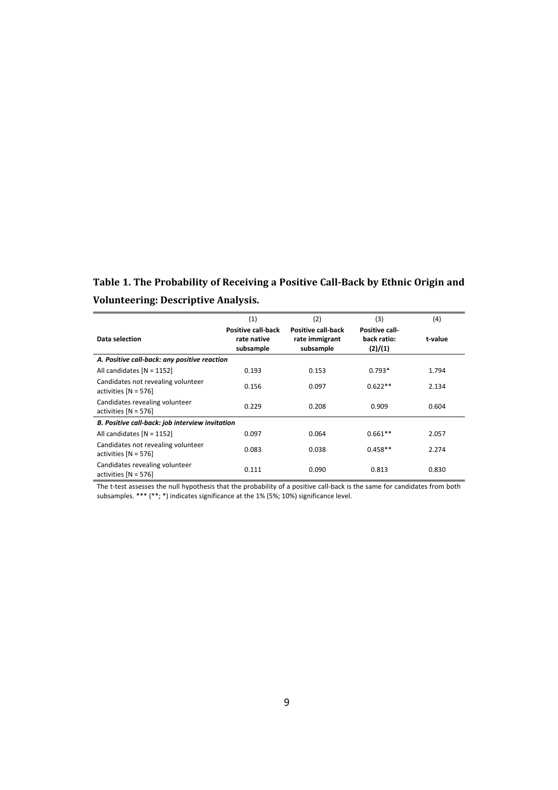**Table 1. The Probability of Receiving a Positive Call‐Back by Ethnic Origin and Volunteering: Descriptive Analysis.**

|                                                              | (1)                                            | (2)                                                      | (3)                                      | (4)     |  |
|--------------------------------------------------------------|------------------------------------------------|----------------------------------------------------------|------------------------------------------|---------|--|
| Data selection                                               | Positive call-back<br>rate native<br>subsample | <b>Positive call-back</b><br>rate immigrant<br>subsample | Positive call-<br>back ratio:<br>(2)/(1) | t-value |  |
| A. Positive call-back: any positive reaction                 |                                                |                                                          |                                          |         |  |
| All candidates $[N = 1152]$                                  | 0.193                                          | 0.153                                                    | $0.793*$                                 | 1.794   |  |
| Candidates not revealing volunteer<br>activities $[N = 576]$ | 0.156                                          | 0.097                                                    | $0.622**$                                | 2.134   |  |
| Candidates revealing volunteer<br>activities $[N = 576]$     | 0.229                                          | 0.208                                                    | 0.909                                    | 0.604   |  |
| B. Positive call-back: job interview invitation              |                                                |                                                          |                                          |         |  |
| All candidates $[N = 1152]$                                  | 0.097                                          | 0.064                                                    | $0.661**$                                | 2.057   |  |
| Candidates not revealing volunteer<br>activities $[N = 576]$ | 0.083                                          | 0.038                                                    | $0.458**$                                | 2.274   |  |
| Candidates revealing volunteer<br>activities $[N = 576]$     | 0.111                                          | 0.090                                                    | 0.813                                    | 0.830   |  |

The t-test assesses the null hypothesis that the probability of a positive call-back is the same for candidates from both subsamples. \*\*\* (\*\*; \*) indicates significance at the 1% (5%; 10%) significance level.